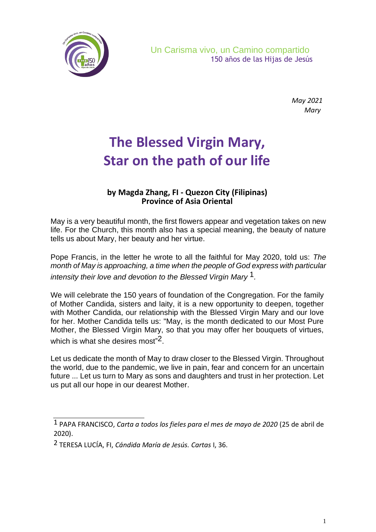

*May 2021 Mary*

## **The Blessed Virgin Mary, Star on the path of our life**

## **by Magda Zhang, FI - Quezon City (Filipinas) Province of Asia Oriental**

May is a very beautiful month, the first flowers appear and vegetation takes on new life. For the Church, this month also has a special meaning, the beauty of nature tells us about Mary, her beauty and her virtue.

Pope Francis, in the letter he wrote to all the faithful for May 2020, told us: *The month of May is approaching, a time when the people of God express with particular intensity their love and devotion to the Blessed Virgin Mary* 1*.*

We will celebrate the 150 years of foundation of the Congregation. For the family of Mother Candida, sisters and laity, it is a new opportunity to deepen, together with Mother Candida, our relationship with the Blessed Virgin Mary and our love for her. Mother Candida tells us: "May, is the month dedicated to our Most Pure Mother, the Blessed Virgin Mary, so that you may offer her bouquets of virtues, which is what she desires most" $^2$ .

Let us dedicate the month of May to draw closer to the Blessed Virgin. Throughout the world, due to the pandemic, we live in pain, fear and concern for an uncertain future ... Let us turn to Mary as sons and daughters and trust in her protection. Let us put all our hope in our dearest Mother.

<sup>1</sup> PAPA FRANCISCO, *Carta a todos los fieles para el mes de mayo de 2020* (25 de abril de 2020).

<sup>2</sup> TERESA LUCÍA, FI, *Cándida María de Jesús. Cartas* I, 36.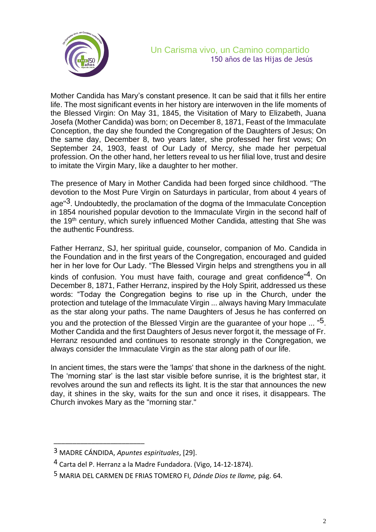

Mother Candida has Mary's constant presence. It can be said that it fills her entire life. The most significant events in her history are interwoven in the life moments of the Blessed Virgin: On May 31, 1845, the Visitation of Mary to Elizabeth, Juana Josefa (Mother Candida) was born; on December 8, 1871, Feast of the Immaculate Conception, the day she founded the Congregation of the Daughters of Jesus; On the same day, December 8, two years later, she professed her first vows; On September 24, 1903, feast of Our Lady of Mercy, she made her perpetual profession. On the other hand, her letters reveal to us her filial love, trust and desire to imitate the Virgin Mary, like a daughter to her mother.

The presence of Mary in Mother Candida had been forged since childhood. "The devotion to the Most Pure Virgin on Saturdays in particular, from about 4 years of age"3. Undoubtedly, the proclamation of the dogma of the Immaculate Conception in 1854 nourished popular devotion to the Immaculate Virgin in the second half of the 19<sup>th</sup> century, which surely influenced Mother Candida, attesting that She was the authentic Foundress.

Father Herranz, SJ, her spiritual guide, counselor, companion of Mo. Candida in the Foundation and in the first years of the Congregation, encouraged and guided her in her love for Our Lady. "The Blessed Virgin helps and strengthens you in all kinds of confusion. You must have faith, courage and great confidence"<sup>4</sup>. On December 8, 1871, Father Herranz, inspired by the Holy Spirit, addressed us these words: "Today the Congregation begins to rise up in the Church, under the protection and tutelage of the Immaculate Virgin ... always having Mary Immaculate as the star along your paths. The name Daughters of Jesus he has conferred on you and the protection of the Blessed Virgin are the guarantee of your hope ... "<sup>5</sup>. Mother Candida and the first Daughters of Jesus never forgot it, the message of Fr. Herranz resounded and continues to resonate strongly in the Congregation, we always consider the Immaculate Virgin as the star along path of our life.

In ancient times, the stars were the 'lamps' that shone in the darkness of the night. The 'morning star' is the last star visible before sunrise, it is the brightest star, it revolves around the sun and reflects its light. It is the star that announces the new day, it shines in the sky, waits for the sun and once it rises, it disappears. The Church invokes Mary as the "morning star."

\_\_\_\_\_\_\_\_\_\_\_\_\_\_\_\_\_\_\_\_\_\_\_\_

<sup>3</sup> MADRE CÁNDIDA, *Apuntes espirituales*, [29].

<sup>4</sup> Carta del P. Herranz a la Madre Fundadora. (Vigo, 14-12-1874).

<sup>5</sup> MARIA DEL CARMEN DE FRIAS TOMERO FI, *Dónde Dios te llame,* pág. 64.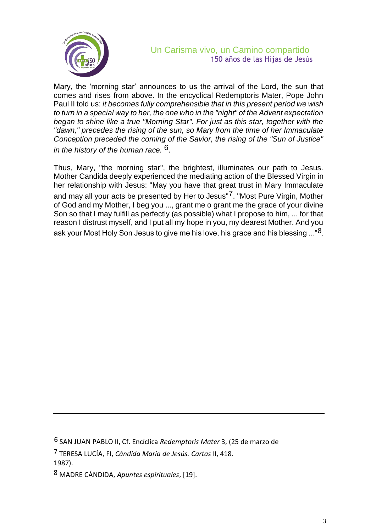

## Un Carisma vivo, un Camino compartido 150 años de las Hijas de Jesús

Mary, the 'morning star' announces to us the arrival of the Lord, the sun that comes and rises from above. In the encyclical Redemptoris Mater, Pope John Paul II told us: *it becomes fully comprehensible that in this present period we wish to turn in a special way to her, the one who in the "night" of the Advent expectation began to shine like a true "Morning Star". For just as this star, together with the "dawn," precedes the rising of the sun, so Mary from the time of her Immaculate Conception preceded the coming of the Savior, the rising of the "Sun of Justice" in the history of the human race.* 6.

Thus, Mary, "the morning star", the brightest, illuminates our path to Jesus. Mother Candida deeply experienced the mediating action of the Blessed Virgin in her relationship with Jesus: "May you have that great trust in Mary Immaculate and may all your acts be presented by Her to Jesus"<sup>7</sup>. "Most Pure Virgin, Mother of God and my Mother, I beg you ..., grant me o grant me the grace of your divine Son so that I may fulfill as perfectly (as possible) what I propose to him, ... for that reason I distrust myself, and I put all my hope in you, my dearest Mother. And you ask your Most Holy Son Jesus to give me his love, his grace and his blessing ..."8.

<sup>6</sup> SAN JUAN PABLO II, Cf. Encíclica *Redemptoris Mater* 3, (25 de marzo de

<sup>7</sup> TERESA LUCÍA, FI, *Cándida María de Jesús. Cartas* II, 418. 1987).

<sup>8</sup> MADRE CÁNDIDA, *Apuntes espirituales*, [19].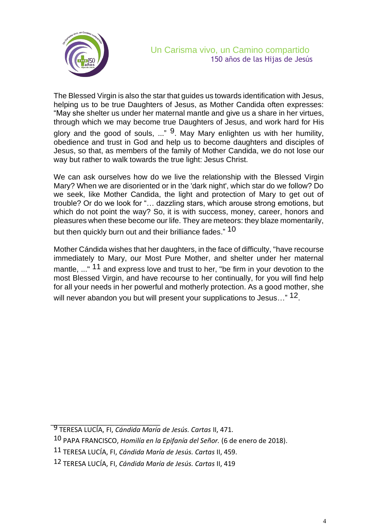

The Blessed Virgin is also the star that guides us towards identification with Jesus, helping us to be true Daughters of Jesus, as Mother Candida often expresses: "May she shelter us under her maternal mantle and give us a share in her virtues, through which we may become true Daughters of Jesus, and work hard for His glory and the good of souls, ..."  $9$ . May Mary enlighten us with her humility, obedience and trust in God and help us to become daughters and disciples of Jesus, so that, as members of the family of Mother Candida, we do not lose our way but rather to walk towards the true light: Jesus Christ.

We can ask ourselves how do we live the relationship with the Blessed Virgin Mary? When we are disoriented or in the 'dark night', which star do we follow? Do we seek, like Mother Candida, the light and protection of Mary to get out of trouble? Or do we look for "… dazzling stars, which arouse strong emotions, but which do not point the way? So, it is with success, money, career, honors and pleasures when these become our life. They are meteors: they blaze momentarily, but then quickly burn out and their brilliance fades."  $^{10}$ 

Mother Cándida wishes that her daughters, in the face of difficulty, "have recourse immediately to Mary, our Most Pure Mother, and shelter under her maternal mantle, ..." <sup>11</sup> and express love and trust to her, "be firm in your devotion to the most Blessed Virgin, and have recourse to her continually, for you will find help for all your needs in her powerful and motherly protection. As a good mother, she will never abandon you but will present your supplications to Jesus..." 12.

\_\_\_\_\_\_\_\_\_\_\_\_\_\_\_\_\_\_\_\_\_\_\_\_\_\_\_\_\_ 9 TERESA LUCÍA, FI, *Cándida María de Jesús. Cartas* II, 471.

<sup>10</sup> PAPA FRANCISCO, *Homilía en la Epifanía del Señor.* (6 de enero de 2018).

<sup>11</sup> TERESA LUCÍA, FI, *Cándida María de Jesús. Cartas* II, 459.

<sup>12</sup> TERESA LUCÍA, FI, *Cándida María de Jesús. Cartas* II, 419